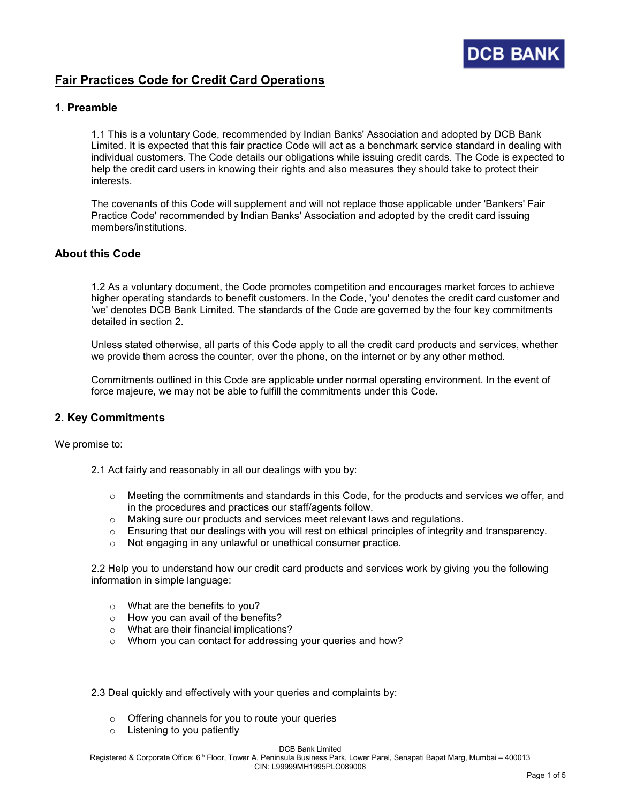

# Fair Practices Code for Credit Card Operations

### 1. Preamble

1.1 This is a voluntary Code, recommended by Indian Banks' Association and adopted by DCB Bank Limited. It is expected that this fair practice Code will act as a benchmark service standard in dealing with individual customers. The Code details our obligations while issuing credit cards. The Code is expected to help the credit card users in knowing their rights and also measures they should take to protect their interests.

The covenants of this Code will supplement and will not replace those applicable under 'Bankers' Fair Practice Code' recommended by Indian Banks' Association and adopted by the credit card issuing members/institutions.

# About this Code

1.2 As a voluntary document, the Code promotes competition and encourages market forces to achieve higher operating standards to benefit customers. In the Code, 'you' denotes the credit card customer and 'we' denotes DCB Bank Limited. The standards of the Code are governed by the four key commitments detailed in section 2.

Unless stated otherwise, all parts of this Code apply to all the credit card products and services, whether we provide them across the counter, over the phone, on the internet or by any other method.

Commitments outlined in this Code are applicable under normal operating environment. In the event of force majeure, we may not be able to fulfill the commitments under this Code.

#### 2. Key Commitments

We promise to:

- 2.1 Act fairly and reasonably in all our dealings with you by:
	- o Meeting the commitments and standards in this Code, for the products and services we offer, and in the procedures and practices our staff/agents follow.
	- o Making sure our products and services meet relevant laws and regulations.
	- $\circ$  Ensuring that our dealings with you will rest on ethical principles of integrity and transparency.
	- o Not engaging in any unlawful or unethical consumer practice.

2.2 Help you to understand how our credit card products and services work by giving you the following information in simple language:

- o What are the benefits to you?
- o How you can avail of the benefits?
- o What are their financial implications?
- o Whom you can contact for addressing your queries and how?
- 2.3 Deal quickly and effectively with your queries and complaints by:
	- o Offering channels for you to route your queries
	- o Listening to you patiently

Registered & Corporate Office: 6<sup>th</sup> Floor, Tower A, Peninsula Business Park, Lower Parel, Senapati Bapat Marg, Mumbai – 400013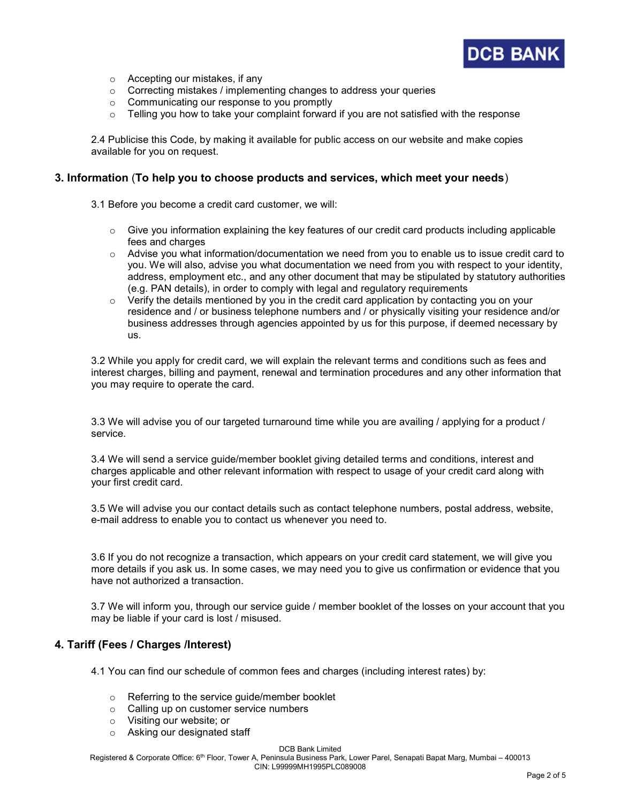

- o Accepting our mistakes, if any
- $\circ$  Correcting mistakes / implementing changes to address your queries
- o Communicating our response to you promptly
- $\circ$  Telling you how to take your complaint forward if you are not satisfied with the response

2.4 Publicise this Code, by making it available for public access on our website and make copies available for you on request.

### 3. Information (To help you to choose products and services, which meet your needs)

- 3.1 Before you become a credit card customer, we will:
	- $\circ$  Give you information explaining the key features of our credit card products including applicable fees and charges
	- $\circ$  Advise you what information/documentation we need from you to enable us to issue credit card to you. We will also, advise you what documentation we need from you with respect to your identity, address, employment etc., and any other document that may be stipulated by statutory authorities (e.g. PAN details), in order to comply with legal and regulatory requirements
	- $\circ$  Verify the details mentioned by you in the credit card application by contacting you on your residence and / or business telephone numbers and / or physically visiting your residence and/or business addresses through agencies appointed by us for this purpose, if deemed necessary by us.

3.2 While you apply for credit card, we will explain the relevant terms and conditions such as fees and interest charges, billing and payment, renewal and termination procedures and any other information that you may require to operate the card.

3.3 We will advise you of our targeted turnaround time while you are availing / applying for a product / service.

3.4 We will send a service guide/member booklet giving detailed terms and conditions, interest and charges applicable and other relevant information with respect to usage of your credit card along with your first credit card.

3.5 We will advise you our contact details such as contact telephone numbers, postal address, website, e-mail address to enable you to contact us whenever you need to.

3.6 If you do not recognize a transaction, which appears on your credit card statement, we will give you more details if you ask us. In some cases, we may need you to give us confirmation or evidence that you have not authorized a transaction.

3.7 We will inform you, through our service guide / member booklet of the losses on your account that you may be liable if your card is lost / misused.

# 4. Tariff (Fees / Charges /Interest)

4.1 You can find our schedule of common fees and charges (including interest rates) by:

- o Referring to the service guide/member booklet
- o Calling up on customer service numbers
- o Visiting our website; or
- o Asking our designated staff

DCB Bank Limited

Registered & Corporate Office: 6<sup>th</sup> Floor, Tower A, Peninsula Business Park, Lower Parel, Senapati Bapat Marg, Mumbai – 400013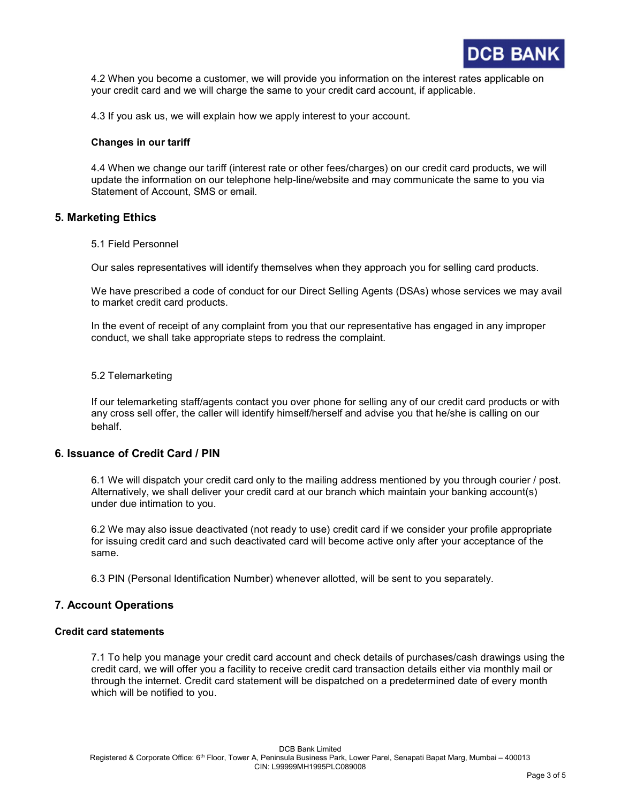

4.2 When you become a customer, we will provide you information on the interest rates applicable on your credit card and we will charge the same to your credit card account, if applicable.

4.3 If you ask us, we will explain how we apply interest to your account.

#### Changes in our tariff

4.4 When we change our tariff (interest rate or other fees/charges) on our credit card products, we will update the information on our telephone help-line/website and may communicate the same to you via Statement of Account, SMS or email.

### 5. Marketing Ethics

5.1 Field Personnel

Our sales representatives will identify themselves when they approach you for selling card products.

We have prescribed a code of conduct for our Direct Selling Agents (DSAs) whose services we may avail to market credit card products.

In the event of receipt of any complaint from you that our representative has engaged in any improper conduct, we shall take appropriate steps to redress the complaint.

#### 5.2 Telemarketing

If our telemarketing staff/agents contact you over phone for selling any of our credit card products or with any cross sell offer, the caller will identify himself/herself and advise you that he/she is calling on our behalf.

#### 6. Issuance of Credit Card / PIN

6.1 We will dispatch your credit card only to the mailing address mentioned by you through courier / post. Alternatively, we shall deliver your credit card at our branch which maintain your banking account(s) under due intimation to you.

6.2 We may also issue deactivated (not ready to use) credit card if we consider your profile appropriate for issuing credit card and such deactivated card will become active only after your acceptance of the same.

6.3 PIN (Personal Identification Number) whenever allotted, will be sent to you separately.

# 7. Account Operations

#### Credit card statements

7.1 To help you manage your credit card account and check details of purchases/cash drawings using the credit card, we will offer you a facility to receive credit card transaction details either via monthly mail or through the internet. Credit card statement will be dispatched on a predetermined date of every month which will be notified to you.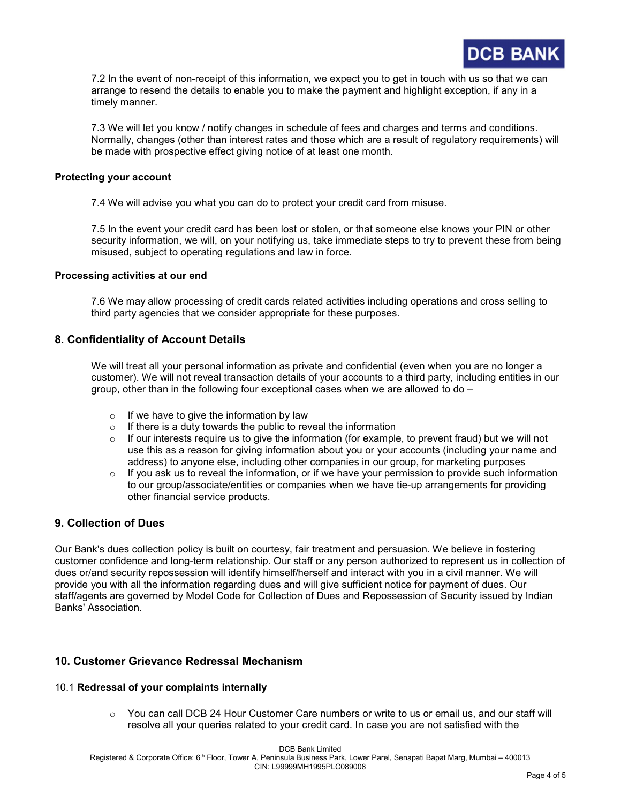

7.2 In the event of non-receipt of this information, we expect you to get in touch with us so that we can arrange to resend the details to enable you to make the payment and highlight exception, if any in a timely manner.

7.3 We will let you know / notify changes in schedule of fees and charges and terms and conditions. Normally, changes (other than interest rates and those which are a result of regulatory requirements) will be made with prospective effect giving notice of at least one month.

#### Protecting your account

7.4 We will advise you what you can do to protect your credit card from misuse.

7.5 In the event your credit card has been lost or stolen, or that someone else knows your PIN or other security information, we will, on your notifying us, take immediate steps to try to prevent these from being misused, subject to operating regulations and law in force.

#### Processing activities at our end

7.6 We may allow processing of credit cards related activities including operations and cross selling to third party agencies that we consider appropriate for these purposes.

## 8. Confidentiality of Account Details

We will treat all your personal information as private and confidential (even when you are no longer a customer). We will not reveal transaction details of your accounts to a third party, including entities in our group, other than in the following four exceptional cases when we are allowed to do –

- $\circ$  If we have to give the information by law
- $\circ$  If there is a duty towards the public to reveal the information
- $\circ$  If our interests require us to give the information (for example, to prevent fraud) but we will not use this as a reason for giving information about you or your accounts (including your name and address) to anyone else, including other companies in our group, for marketing purposes
- If you ask us to reveal the information, or if we have your permission to provide such information to our group/associate/entities or companies when we have tie-up arrangements for providing other financial service products.

# 9. Collection of Dues

Our Bank's dues collection policy is built on courtesy, fair treatment and persuasion. We believe in fostering customer confidence and long-term relationship. Our staff or any person authorized to represent us in collection of dues or/and security repossession will identify himself/herself and interact with you in a civil manner. We will provide you with all the information regarding dues and will give sufficient notice for payment of dues. Our staff/agents are governed by Model Code for Collection of Dues and Repossession of Security issued by Indian Banks' Association.

# 10. Customer Grievance Redressal Mechanism

#### 10.1 Redressal of your complaints internally

 $\circ$  You can call DCB 24 Hour Customer Care numbers or write to us or email us, and our staff will resolve all your queries related to your credit card. In case you are not satisfied with the